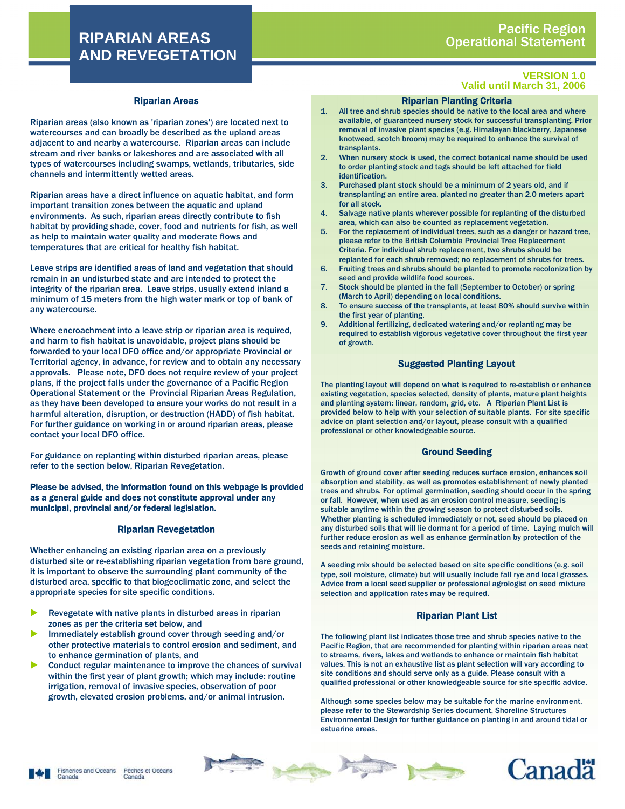# **RIPARIAN AREAS AND REVEGETATION**

### Riparian Areas

Riparian areas (also known as 'riparian zones') are located next to watercourses and can broadly be described as the upland areas adjacent to and nearby a watercourse. Riparian areas can include stream and river banks or lakeshores and are associated with all types of watercourses including swamps, wetlands, tributaries, side channels and intermittently wetted areas.

Riparian areas have a direct influence on aquatic habitat, and form important transition zones between the aquatic and upland environments. As such, riparian areas directly contribute to fish habitat by providing shade, cover, food and nutrients for fish, as well as help to maintain water quality and moderate flows and temperatures that are critical for healthy fish habitat.

Leave strips are identified areas of land and vegetation that should remain in an undisturbed state and are intended to protect the integrity of the riparian area. Leave strips, usually extend inland a minimum of 15 meters from the high water mark or top of bank of any watercourse.

Where encroachment into a leave strip or riparian area is required, and harm to fish habitat is unavoidable, project plans should be forwarded to your local DFO office and/or appropriate Provincial or Territorial agency, in advance, for review and to obtain any necessary approvals. Please note, DFO does not require review of your project plans, if the project falls under the governance of a Pacific Region Operational Statement or the Provincial Riparian Areas Regulation, as they have been developed to ensure your works do not result in a harmful alteration, disruption, or destruction (HADD) of fish habitat. For further guidance on working in or around riparian areas, please contact your local DFO office.

For guidance on replanting within disturbed riparian areas, please refer to the section below, Riparian Revegetation.

Please be advised, the information found on this webpage is provided as a general guide and does not constitute approval under any municipal, provincial and/or federal legislation.

#### Riparian Revegetation

Whether enhancing an existing riparian area on a previously disturbed site or re-establishing riparian vegetation from bare ground, it is important to observe the surrounding plant community of the disturbed area, specific to that biogeoclimatic zone, and select the appropriate species for site specific conditions.

- Revegetate with native plants in disturbed areas in riparian zones as per the criteria set below, and
- Immediately establish ground cover through seeding and/or other protective materials to control erosion and sediment, and to enhance germination of plants, and
- Conduct regular maintenance to improve the chances of survival within the first year of plant growth; which may include: routine irrigation, removal of invasive species, observation of poor growth, elevated erosion problems, and/or animal intrusion.

#### **VERSION 1.0 Valid until March 31, 2006**

### Riparian Planting Criteria

- 1. All tree and shrub species should be native to the local area and where available, of guaranteed nursery stock for successful transplanting. Prior removal of invasive plant species (e.g. Himalayan blackberry, Japanese knotweed, scotch broom) may be required to enhance the survival of transplants.
- 2. When nursery stock is used, the correct botanical name should be used to order planting stock and tags should be left attached for field identification.
- 3. Purchased plant stock should be a minimum of 2 years old, and if transplanting an entire area, planted no greater than 2.0 meters apart for all stock.
- 4. Salvage native plants wherever possible for replanting of the disturbed area, which can also be counted as replacement vegetation.
- 5. For the replacement of individual trees, such as a danger or hazard tree, please refer to the British Columbia Provincial Tree Replacement Criteria. For individual shrub replacement, two shrubs should be replanted for each shrub removed; no replacement of shrubs for trees.
- 6. Fruiting trees and shrubs should be planted to promote recolonization by seed and provide wildlife food sources.
- 7. Stock should be planted in the fall (September to October) or spring (March to April) depending on local conditions.
- 8. To ensure success of the transplants, at least 80% should survive within the first year of planting.
- 9. Additional fertilizing, dedicated watering and/or replanting may be required to establish vigorous vegetative cover throughout the first year of growth.

#### Suggested Planting Layout

The planting layout will depend on what is required to re-establish or enhance existing vegetation, species selected, density of plants, mature plant heights and planting system: linear, random, grid, etc. A Riparian Plant List is provided below to help with your selection of suitable plants. For site specific advice on plant selection and/or layout, please consult with a qualified professional or other knowledgeable source.

### Ground Seeding

Growth of ground cover after seeding reduces surface erosion, enhances soil absorption and stability, as well as promotes establishment of newly planted trees and shrubs. For optimal germination, seeding should occur in the spring or fall. However, when used as an erosion control measure, seeding is suitable anytime within the growing season to protect disturbed soils. Whether planting is scheduled immediately or not, seed should be placed on any disturbed soils that will lie dormant for a period of time. Laying mulch will further reduce erosion as well as enhance germination by protection of the seeds and retaining moisture.

A seeding mix should be selected based on site specific conditions (e.g. soil type, soil moisture, climate) but will usually include fall rye and local grasses. Advice from a local seed supplier or professional agrologist on seed mixture selection and application rates may be required.

### Riparian Plant List

The following plant list indicates those tree and shrub species native to the Pacific Region, that are recommended for planting within riparian areas next to streams, rivers, lakes and wetlands to enhance or maintain fish habitat values. This is not an exhaustive list as plant selection will vary according to site conditions and should serve only as a guide. Please consult with a qualified professional or other knowledgeable source for site specific advice.

Although some species below may be suitable for the marine environment, please refer to the Stewardship Series document, Shoreline Structures Environmental Design for further guidance on planting in and around tidal or estuarine areas.





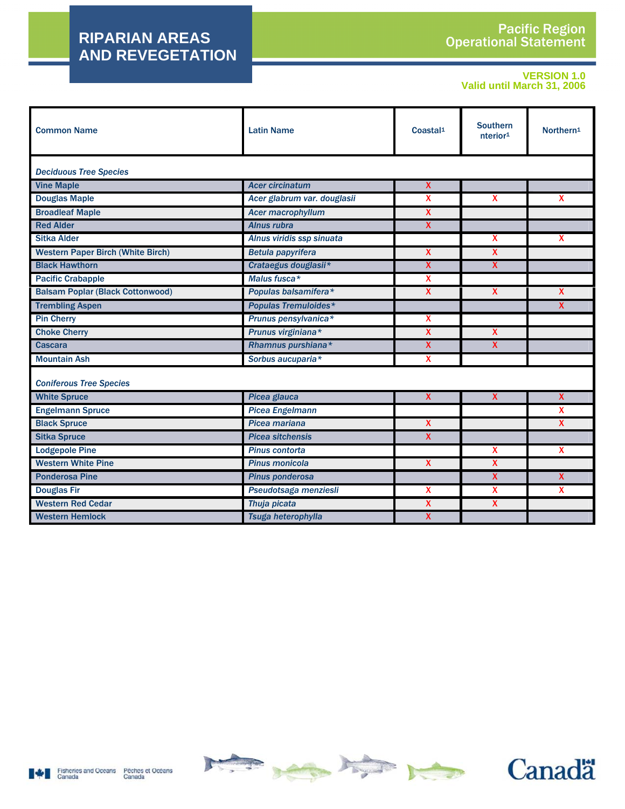# **RIPARIAN AREAS AND REVEGETATION**

## **VERSION 1.0 Valid until March 31, 2006**

| <b>Common Name</b>                       | <b>Latin Name</b>           | Coastal <sup>1</sup>      | <b>Southern</b><br>nterior <sup>1</sup> | Northern <sup>1</sup>   |  |  |
|------------------------------------------|-----------------------------|---------------------------|-----------------------------------------|-------------------------|--|--|
| <b>Deciduous Tree Species</b>            |                             |                           |                                         |                         |  |  |
| <b>Vine Maple</b>                        | <b>Acer circinatum</b>      | X                         |                                         |                         |  |  |
| <b>Douglas Maple</b>                     | Acer glabrum var. douglasii | $\boldsymbol{\mathsf{x}}$ | $\mathbf x$                             | $\mathbf{x}$            |  |  |
| <b>Broadleaf Maple</b>                   | <b>Acer macrophyllum</b>    | $\boldsymbol{\mathsf{X}}$ |                                         |                         |  |  |
| <b>Red Alder</b>                         | Alnus rubra                 | $\pmb{\chi}$              |                                         |                         |  |  |
| <b>Sitka Alder</b>                       | Alnus viridis ssp sinuata   |                           | $\mathbf{x}$                            | X                       |  |  |
| <b>Western Paper Birch (White Birch)</b> | <b>Betula papyrifera</b>    | $\boldsymbol{\mathsf{X}}$ | X                                       |                         |  |  |
| <b>Black Hawthorn</b>                    | Crataegus douglasii*        | $\mathsf{x}$              | $\mathsf{x}$                            |                         |  |  |
| <b>Pacific Crabapple</b>                 | Malus fusca*                | x                         |                                         |                         |  |  |
| <b>Balsam Poplar (Black Cottonwood)</b>  | Populas balsamifera*        | X                         | $\mathbf{x}$                            | $\mathbf{x}$            |  |  |
| <b>Trembling Aspen</b>                   | <b>Populas Tremuloides*</b> |                           |                                         | X                       |  |  |
| <b>Pin Cherry</b>                        | Prunus pensylvanica*        | $\boldsymbol{\mathsf{X}}$ |                                         |                         |  |  |
| <b>Choke Cherry</b>                      | Prunus virginiana*          | X                         | $\pmb{\chi}$                            |                         |  |  |
| <b>Cascara</b>                           | Rhamnus purshiana*          | X                         | $\mathsf{X}$                            |                         |  |  |
| <b>Mountain Ash</b>                      | Sorbus aucuparia*           | $\mathbf{x}$              |                                         |                         |  |  |
| <b>Coniferous Tree Species</b>           |                             |                           |                                         |                         |  |  |
| <b>White Spruce</b>                      | <b>Picea glauca</b>         | $\overline{\mathbf{X}}$   | $\overline{\mathbf{X}}$                 | $\overline{\mathbf{X}}$ |  |  |
| <b>Engelmann Spruce</b>                  | <b>Picea Engelmann</b>      |                           |                                         | X                       |  |  |
| <b>Black Spruce</b>                      | Picea mariana               | $\boldsymbol{\mathsf{X}}$ |                                         | X                       |  |  |
| <b>Sitka Spruce</b>                      | <b>Picea sitchensis</b>     | $\boldsymbol{\mathsf{X}}$ |                                         |                         |  |  |
| <b>Lodgepole Pine</b>                    | Pinus contorta              |                           | $\boldsymbol{\mathsf{x}}$               | $\mathbf{x}$            |  |  |
| <b>Western White Pine</b>                | Pinus monicola              | $\boldsymbol{\mathsf{X}}$ | X                                       |                         |  |  |
| <b>Ponderosa Pine</b>                    | <b>Pinus ponderosa</b>      |                           | X                                       | $\mathbf{x}$            |  |  |
| <b>Douglas Fir</b>                       | Pseudotsaga menziesli       | $\boldsymbol{\mathsf{x}}$ | X                                       | X                       |  |  |
| <b>Western Red Cedar</b>                 | Thuja picata                | X                         | X                                       |                         |  |  |
| <b>Western Hemlock</b>                   | Tsuga heterophylla          | X                         |                                         |                         |  |  |